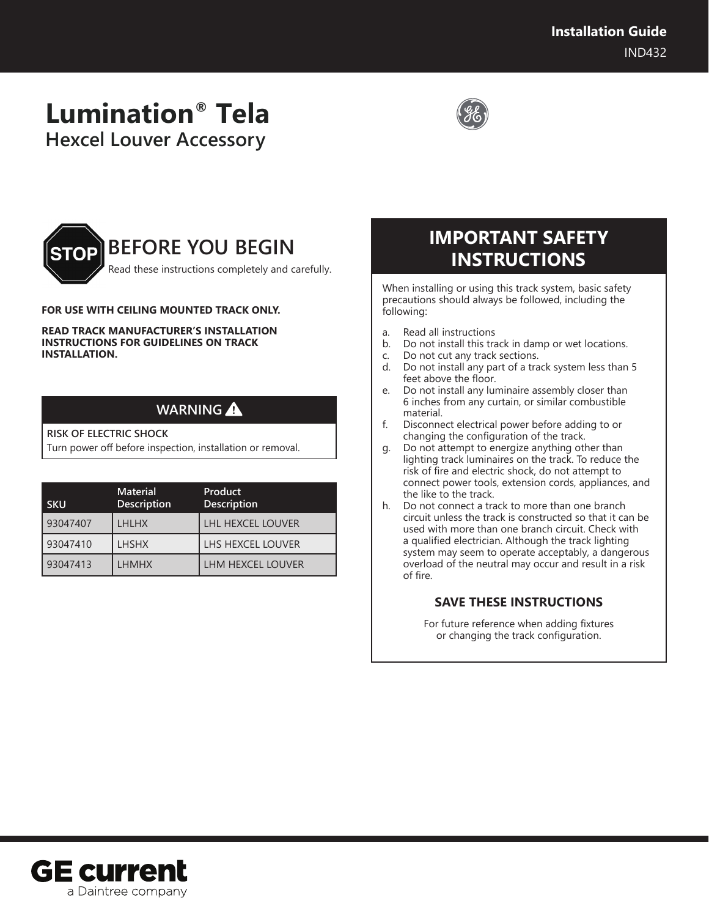# **Lumination® Tela Hexcel Louver Accessory**





### **FOR USE WITH CEILING MOUNTED TRACK ONLY.**

**READ TRACK MANUFACTURER'S INSTALLATION INSTRUCTIONS FOR GUIDELINES ON TRACK INSTALLATION.**

### **WARNING**

#### **RISK OF ELECTRIC SHOCK**

Turn power off before inspection, installation or removal.

| <b>SKU</b> | <b>Material</b><br><b>Description</b> | Product<br><b>Description</b> |
|------------|---------------------------------------|-------------------------------|
| 93047407   | <b>LHLHX</b>                          | <b>LHL HEXCEL LOUVER</b>      |
| 93047410   | <b>LHSHX</b>                          | LHS HEXCEL LOUVER             |
| 93047413   | <b>LHMHX</b>                          | LHM HEXCEL LOUVER             |

# **IMPORTANT SAFETY INSTRUCTIONS**

When installing or using this track system, basic safety precautions should always be followed, including the following:

- a. Read all instructions
- b. Do not install this track in damp or wet locations.
- c. Do not cut any track sections.
- d. Do not install any part of a track system less than 5 feet above the floor.
- e. Do not install any luminaire assembly closer than 6 inches from any curtain, or similar combustible material.
- f. Disconnect electrical power before adding to or changing the configuration of the track.
- g. Do not attempt to energize anything other than lighting track luminaires on the track. To reduce the risk of fire and electric shock, do not attempt to connect power tools, extension cords, appliances, and the like to the track.
- h. Do not connect a track to more than one branch circuit unless the track is constructed so that it can be used with more than one branch circuit. Check with a qualified electrician. Although the track lighting system may seem to operate acceptably, a dangerous overload of the neutral may occur and result in a risk of fire.

### **SAVE THESE INSTRUCTIONS**

For future reference when adding fixtures or changing the track configuration.